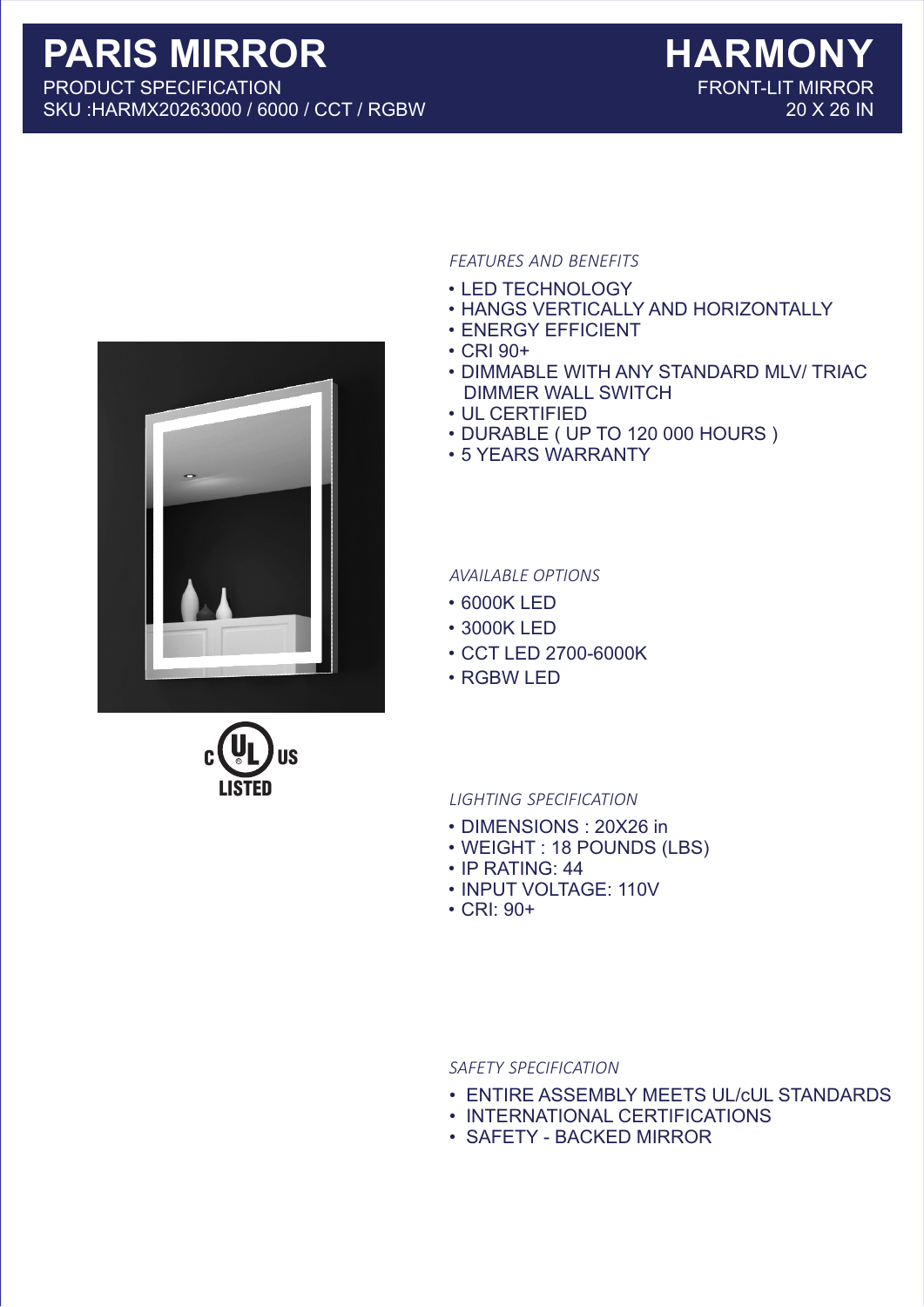



## *FEATURES AND BENEFITS*

- LED TECHNOLOGY
- HANGS VERTICALLY AND HORIZONTALLY
- ENERGY EFFICIENT
- CRI 90+
- DIMMABLE WITH ANY STANDARD MLV/ TRIAC DIMMER WALL SWITCH
- UL CERTIFIED
- DURABLE ( UP TO 120 000 HOURS )
- 5 YEARS WARRANTY

*AVAILABLE OPTIONS*

- 6000K LED
- 3000K LED
- CCT LED 2700-6000K
- RGBW LED

## *LIGHTING SPECIFICATION*

- DIMENSIONS : 20X26 in
- WEIGHT : 18 POUNDS (LBS)
- IP RATING: 44
- INPUT VOLTAGE: 110V
- CRI: 90+

*SAFETY SPECIFICATION*

- ENTIRE ASSEMBLY MEETS UL/cUL STANDARDS
- INTERNATIONAL CERTIFICATIONS
- SAFETY BACKED MIRROR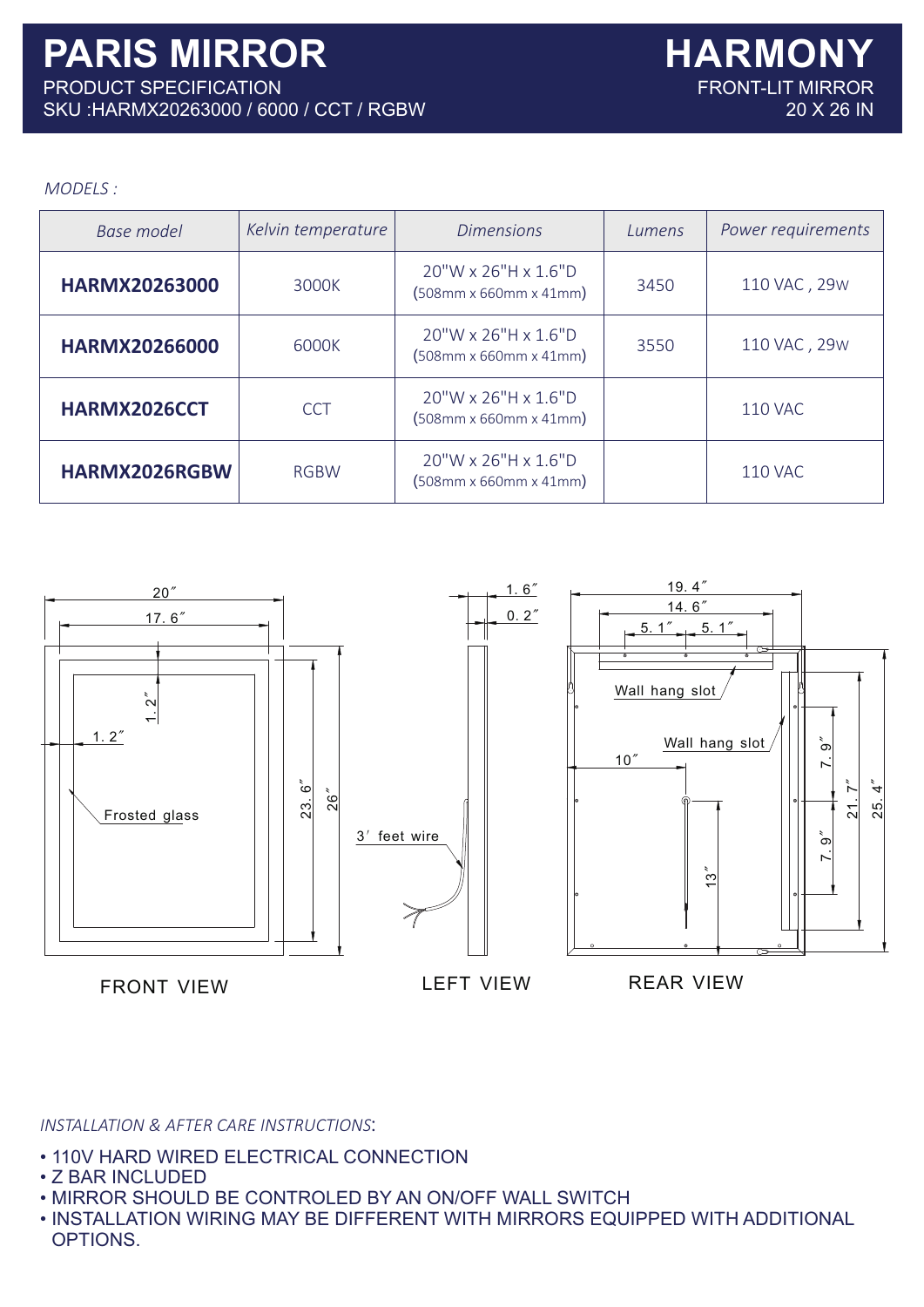## *MODELS :*

| <b>Base model</b>    | Kelvin temperature | <b>Dimensions</b>                                                                          | Lumens | Power requirements |
|----------------------|--------------------|--------------------------------------------------------------------------------------------|--------|--------------------|
| <b>HARMX20263000</b> | 3000K              | 20"W x 26"H x 1.6"D<br>$(508$ mm x 660mm x 41mm)                                           | 3450   | 110 VAC, 29W       |
| <b>HARMX20266000</b> | 6000K              | 20"W x 26"H x 1.6"D<br>$(508$ mm x 660mm x 41mm)                                           | 3550   | 110 VAC, 29W       |
| HARMX2026CCT         | <b>CCT</b>         | 20"W x 26"H x 1.6"D<br>$(508$ mm x 660mm x 41mm)                                           |        | <b>110 VAC</b>     |
| HARMX2026RGBW        | <b>RGBW</b>        | 20"W x 26"H x 1.6"D<br>$(508 \, \text{mm} \times 660 \, \text{mm} \times 41 \, \text{mm})$ |        | <b>110 VAC</b>     |



*INSTALLATION & AFTER CARE INSTRUCTIONS*:

- 110V HARD WIRED ELECTRICAL CONNECTION
- Z BAR INCLUDED
- MIRROR SHOULD BE CONTROLED BY AN ON/OFF WALL SWITCH
- INSTALLATION WIRING MAY BE DIFFERENT WITH MIRRORS EQUIPPED WITH ADDITIONAL OPTIONS.